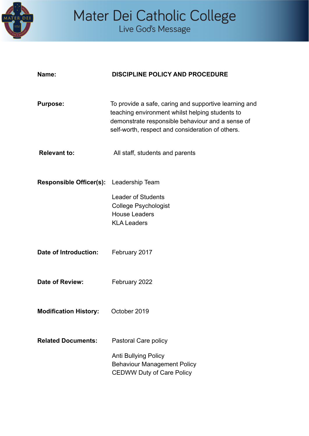

# Mater Dei Catholic College<br>Live God's Message

| Name:                                   | <b>DISCIPLINE POLICY AND PROCEDURE</b>                                                                                                                                                                           |
|-----------------------------------------|------------------------------------------------------------------------------------------------------------------------------------------------------------------------------------------------------------------|
| <b>Purpose:</b>                         | To provide a safe, caring and supportive learning and<br>teaching environment whilst helping students to<br>demonstrate responsible behaviour and a sense of<br>self-worth, respect and consideration of others. |
| <b>Relevant to:</b>                     | All staff, students and parents                                                                                                                                                                                  |
|                                         |                                                                                                                                                                                                                  |
| Responsible Officer(s): Leadership Team |                                                                                                                                                                                                                  |
|                                         | <b>Leader of Students</b><br><b>College Psychologist</b><br><b>House Leaders</b><br><b>KLA Leaders</b>                                                                                                           |
| Date of Introduction:                   | February 2017                                                                                                                                                                                                    |
| Date of Review:                         | February 2022                                                                                                                                                                                                    |
| <b>Modification History:</b>            | October 2019                                                                                                                                                                                                     |
| <b>Related Documents:</b>               | Pastoral Care policy                                                                                                                                                                                             |
|                                         | <b>Anti Bullying Policy</b><br><b>Behaviour Management Policy</b><br><b>CEDWW Duty of Care Policy</b>                                                                                                            |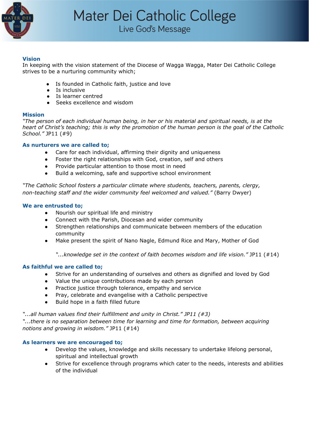

#### **Vision**

In keeping with the vision statement of the Diocese of Wagga Wagga, Mater Dei Catholic College strives to be a nurturing community which;

- Is founded in Catholic faith, justice and love
- Is inclusive
- Is learner centred
- Seeks excellence and wisdom

#### **Mission**

*"The person of each individual human being, in her or his material and spiritual needs, is at the* heart of Christ's teaching; this is why the promotion of the human person is the goal of the Catholic *School."* JP11 (#9)

#### **As nurturers we are called to;**

- Care for each individual, affirming their dignity and uniqueness
- Foster the right relationships with God, creation, self and others
- Provide particular attention to those most in need
- Build a welcoming, safe and supportive school environment

*"The Catholic School fosters a particular climate where students, teachers, parents, clergy, non-teaching staff and the wider community feel welcomed and valued."* (Barry Dwyer)

#### **We are entrusted to;**

- Nourish our spiritual life and ministry
- Connect with the Parish, Diocesan and wider community
- Strengthen relationships and communicate between members of the education community
- Make present the spirit of Nano Nagle, Edmund Rice and Mary, Mother of God

*"...knowledge set in the context of faith becomes wisdom and life vision."* JP11 (#14)

#### **As faithful we are called to;**

- Strive for an understanding of ourselves and others as dignified and loved by God
- Value the unique contributions made by each person
- Practice justice through tolerance, empathy and service
- Pray, celebrate and evangelise with a Catholic perspective
- Build hope in a faith filled future

*"...all human values find their fulfillment and unity in Christ." JP11 (#3)*

*"...there is no separation between time for learning and time for formation, between acquiring notions and growing in wisdom."* JP11 (#14)

#### **As learners we are encouraged to;**

- Develop the values, knowledge and skills necessary to undertake lifelong personal, spiritual and intellectual growth
- Strive for excellence through programs which cater to the needs, interests and abilities of the individual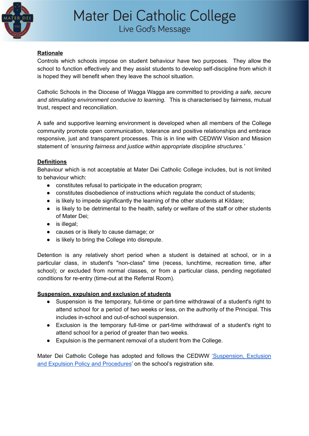

# Live God's Message

# **Rationale**

Controls which schools impose on student behaviour have two purposes. They allow the school to function effectively and they assist students to develop self-discipline from which it is hoped they will benefit when they leave the school situation.

Catholic Schools in the Diocese of Wagga Wagga are committed to providing *a safe, secure and stimulating environment conducive to learning.* ' This is characterised by fairness, mutual trust, respect and reconciliation.

A safe and supportive learning environment is developed when all members of the College community promote open communication, tolerance and positive relationships and embrace responsive, just and transparent processes. This is in line with CEDWW Vision and Mission statement of *'ensuring fairness and justice within appropriate discipline structures.'*

# **Definitions**

Behaviour which is not acceptable at Mater Dei Catholic College includes, but is not limited to behaviour which:

- constitutes refusal to participate in the education program;
- constitutes disobedience of instructions which regulate the conduct of students;
- is likely to impede significantly the learning of the other students at Kildare;
- is likely to be detrimental to the health, safety or welfare of the staff or other students of Mater Dei;
- is illegal:
- causes or is likely to cause damage; or
- is likely to bring the College into disrepute.

Detention is any relatively short period when a student is detained at school, or in a particular class, in student's "non-class" time (recess, lunchtime, recreation time, after school); or excluded from normal classes, or from a particular class, pending negotiated conditions for re-entry (time-out at the Referral Room).

# **Suspension, expulsion and exclusion of students**

- Suspension is the temporary, full-time or part-time withdrawal of a student's right to attend school for a period of two weeks or less, on the authority of the Principal. This includes in-school and out-of-school suspension.
- Exclusion is the temporary full-time or part-time withdrawal of a student's right to attend school for a period of greater than two weeks.
- Expulsion is the permanent removal of a student from the College.

Mater Dei Catholic College has adopted and follows the CEDWW ['Suspension,](https://www.mdccww.catholic.edu.au/sites/default/files/_CEWDWW%20-%20Suspension%2C%20Exclusion%20and%20Expulsion%20Policy.pdf) Exclusion and Expulsion Policy and [Procedures](https://www.mdccww.catholic.edu.au/sites/default/files/_CEWDWW%20-%20Suspension%2C%20Exclusion%20and%20Expulsion%20Policy.pdf)' on the school's registration site.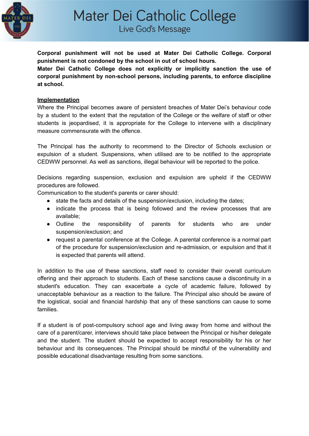

Live God's Message

**Corporal punishment will not be used at Mater Dei Catholic College. Corporal punishment is not condoned by the school in out of school hours.**

**Mater Dei Catholic College does not explicitly or implicitly sanction the use of corporal punishment by non-school persons, including parents, to enforce discipline at school.**

# **Implementation**

Where the Principal becomes aware of persistent breaches of Mater Dei's behaviour code by a student to the extent that the reputation of the College or the welfare of staff or other students is jeopardised, it is appropriate for the College to intervene with a disciplinary measure commensurate with the offence.

The Principal has the authority to recommend to the Director of Schools exclusion or expulsion of a student. Suspensions, when utilised are to be notified to the appropriate CEDWW personnel. As well as sanctions, illegal behaviour will be reported to the police.

Decisions regarding suspension, exclusion and expulsion are upheld if the CEDWW procedures are followed.

Communication to the student's parents or carer should:

- state the facts and details of the suspension/exclusion, including the dates;
- indicate the process that is being followed and the review processes that are available;
- Outline the responsibility of parents for students who are under suspension/exclusion; and
- request a parental conference at the College. A parental conference is a normal part of the procedure for suspension/exclusion and re-admission, or expulsion and that it is expected that parents will attend.

In addition to the use of these sanctions, staff need to consider their overall curriculum offering and their approach to students. Each of these sanctions cause a discontinuity in a student's education. They can exacerbate a cycle of academic failure, followed by unacceptable behaviour as a reaction to the failure. The Principal also should be aware of the logistical, social and financial hardship that any of these sanctions can cause to some families.

If a student is of post-compulsory school age and living away from home and without the care of a parent/carer, interviews should take place between the Principal or his/her delegate and the student. The student should be expected to accept responsibility for his or her behaviour and its consequences. The Principal should be mindful of the vulnerability and possible educational disadvantage resulting from some sanctions.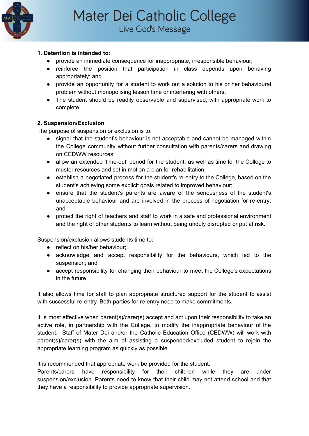

Live God's Message

# **1. Detention is intended to:**

- provide an immediate consequence for inappropriate, irresponsible behaviour;
- reinforce the position that participation in class depends upon behaving appropriately; and
- provide an opportunity for a student to work out a solution to his or her behavioural problem without monopolising lesson time or interfering with others.
- The student should be readily observable and supervised, with appropriate work to complete.

# **2. Suspension/Exclusion**

The purpose of suspension or exclusion is to:

- signal that the student's behaviour is not acceptable and cannot be managed within the College community without further consultation with parents/carers and drawing on CEDWW resources;
- allow an extended 'time-out' period for the student, as well as time for the College to muster resources and set in motion a plan for rehabilitation;
- establish a negotiated process for the student's re-entry to the College, based on the student's achieving some explicit goals related to improved behaviour;
- ensure that the student's parents are aware of the seriousness of the student's unacceptable behaviour and are involved in the process of negotiation for re-entry; and
- protect the right of teachers and staff to work in a safe and professional environment and the right of other students to learn without being unduly disrupted or put at risk.

Suspension/exclusion allows students time to:

- reflect on his/her behaviour;
- acknowledge and accept responsibility for the behaviours, which led to the suspension; and
- accept responsibility for changing their behaviour to meet the College's expectations in the future.

It also allows time for staff to plan appropriate structured support for the student to assist with successful re-entry. Both parties for re-entry need to make commitments.

It is most effective when parent(s)/carer(s) accept and act upon their responsibility to take an active role, in partnership with the College, to modify the inappropriate behaviour of the student. Staff of Mater Dei and/or the Catholic Education Office (CEDWW) will work with parent(s)/carer(s) with the aim of assisting a suspended/excluded student to rejoin the appropriate learning program as quickly as possible.

It is recommended that appropriate work be provided for the student.

Parents/carers have responsibility for their children while they are under suspension/exclusion. Parents need to know that their child may not attend school and that they have a responsibility to provide appropriate supervision.